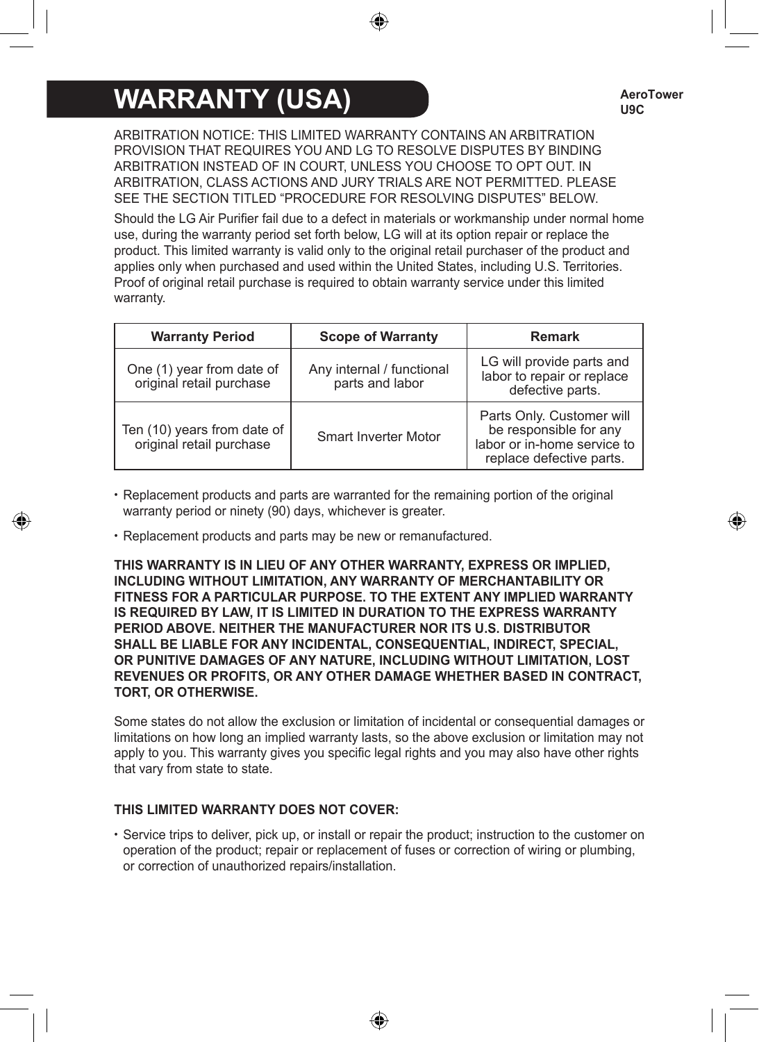# **WARRANTY (USA)**

ARBITRATION NOTICE: THIS LIMITED WARRANTY CONTAINS AN ARBITRATION PROVISION THAT REQUIRES YOU AND LG TO RESOLVE DISPUTES BY BINDING ARBITRATION INSTEAD OF IN COURT, UNLESS YOU CHOOSE TO OPT OUT. IN ARBITRATION, CLASS ACTIONS AND JURY TRIALS ARE NOT PERMITTED. PLEASE SEE THE SECTION TITLED "PROCEDURE FOR RESOLVING DISPUTES" BELOW.

Should the LG Air Purifier fail due to a defect in materials or workmanship under normal home use, during the warranty period set forth below, LG will at its option repair or replace the product. This limited warranty is valid only to the original retail purchaser of the product and applies only when purchased and used within the United States, including U.S. Territories. Proof of original retail purchase is required to obtain warranty service under this limited warranty.

| <b>Warranty Period</b>                                  | <b>Scope of Warranty</b>                     | <b>Remark</b>                                                                                                  |
|---------------------------------------------------------|----------------------------------------------|----------------------------------------------------------------------------------------------------------------|
| One (1) year from date of<br>original retail purchase   | Any internal / functional<br>parts and labor | LG will provide parts and<br>labor to repair or replace<br>defective parts.                                    |
| Ten (10) years from date of<br>original retail purchase | Smart Inverter Motor                         | Parts Only. Customer will<br>be responsible for any<br>labor or in-home service to<br>replace defective parts. |

- Replacement products and parts are warranted for the remaining portion of the original warranty period or ninety (90) days, whichever is greater.
- Replacement products and parts may be new or remanufactured.

**THIS WARRANTY IS IN LIEU OF ANY OTHER WARRANTY, EXPRESS OR IMPLIED, INCLUDING WITHOUT LIMITATION, ANY WARRANTY OF MERCHANTABILITY OR FITNESS FOR A PARTICULAR PURPOSE. TO THE EXTENT ANY IMPLIED WARRANTY IS REQUIRED BY LAW, IT IS LIMITED IN DURATION TO THE EXPRESS WARRANTY PERIOD ABOVE. NEITHER THE MANUFACTURER NOR ITS U.S. DISTRIBUTOR SHALL BE LIABLE FOR ANY INCIDENTAL, CONSEQUENTIAL, INDIRECT, SPECIAL, OR PUNITIVE DAMAGES OF ANY NATURE, INCLUDING WITHOUT LIMITATION, LOST REVENUES OR PROFITS, OR ANY OTHER DAMAGE WHETHER BASED IN CONTRACT, TORT, OR OTHERWISE.**

Some states do not allow the exclusion or limitation of incidental or consequential damages or limitations on how long an implied warranty lasts, so the above exclusion or limitation may not apply to you. This warranty gives you specific legal rights and you may also have other rights that vary from state to state.

## **THIS LIMITED WARRANTY DOES NOT COVER:**

• Service trips to deliver, pick up, or install or repair the product; instruction to the customer on operation of the product; repair or replacement of fuses or correction of wiring or plumbing, or correction of unauthorized repairs/installation.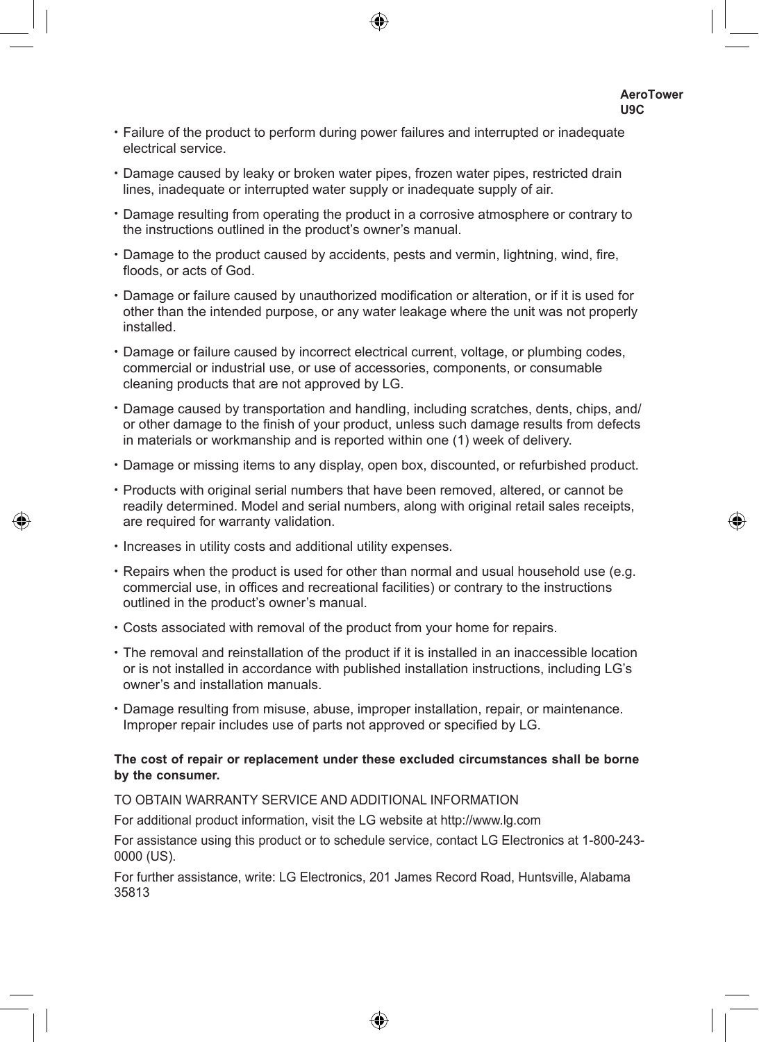- Failure of the product to perform during power failures and interrupted or inadequate electrical service.
- Damage caused by leaky or broken water pipes, frozen water pipes, restricted drain lines, inadequate or interrupted water supply or inadequate supply of air.
- Damage resulting from operating the product in a corrosive atmosphere or contrary to the instructions outlined in the product's owner's manual.
- Damage to the product caused by accidents, pests and vermin, lightning, wind, fire, floods, or acts of God.
- Damage or failure caused by unauthorized modification or alteration, or if it is used for other than the intended purpose, or any water leakage where the unit was not properly installed.
- Damage or failure caused by incorrect electrical current, voltage, or plumbing codes, commercial or industrial use, or use of accessories, components, or consumable cleaning products that are not approved by LG.
- Damage caused by transportation and handling, including scratches, dents, chips, and/ or other damage to the finish of your product, unless such damage results from defects in materials or workmanship and is reported within one (1) week of delivery.
- Damage or missing items to any display, open box, discounted, or refurbished product.
- Products with original serial numbers that have been removed, altered, or cannot be readily determined. Model and serial numbers, along with original retail sales receipts, are required for warranty validation.
- Increases in utility costs and additional utility expenses.
- Repairs when the product is used for other than normal and usual household use (e.g. commercial use, in offices and recreational facilities) or contrary to the instructions outlined in the product's owner's manual.
- Costs associated with removal of the product from your home for repairs.
- The removal and reinstallation of the product if it is installed in an inaccessible location or is not installed in accordance with published installation instructions, including LG's owner's and installation manuals.
- Damage resulting from misuse, abuse, improper installation, repair, or maintenance. Improper repair includes use of parts not approved or specified by LG.

### **The cost of repair or replacement under these excluded circumstances shall be borne by the consumer.**

#### TO OBTAIN WARRANTY SERVICE AND ADDITIONAL INFORMATION

For additional product information, visit the LG website at http://www.lg.com

For assistance using this product or to schedule service, contact LG Electronics at 1-800-243- 0000 (US).

For further assistance, write: LG Electronics, 201 James Record Road, Huntsville, Alabama 35813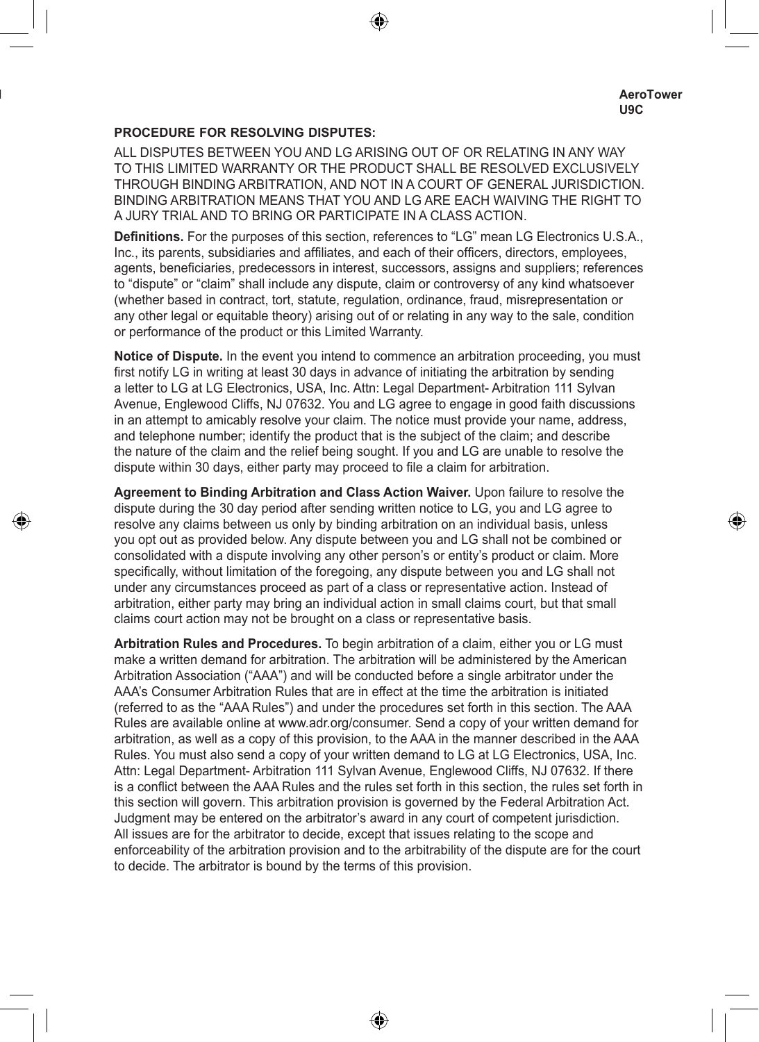### **PROCEDURE FOR RESOLVING DISPUTES:**

ALL DISPUTES BETWEEN YOU AND LG ARISING OUT OF OR RELATING IN ANY WAY TO THIS LIMITED WARRANTY OR THE PRODUCT SHALL BE RESOLVED EXCLUSIVELY THROUGH BINDING ARBITRATION, AND NOT IN A COURT OF GENERAL JURISDICTION. BINDING ARBITRATION MEANS THAT YOU AND LG ARE EACH WAIVING THE RIGHT TO A JURY TRIAL AND TO BRING OR PARTICIPATE IN A CLASS ACTION.

**Definitions.** For the purposes of this section, references to "LG" mean LG Electronics U.S.A., Inc., its parents, subsidiaries and affiliates, and each of their officers, directors, employees, agents, beneficiaries, predecessors in interest, successors, assigns and suppliers; references to "dispute" or "claim" shall include any dispute, claim or controversy of any kind whatsoever (whether based in contract, tort, statute, regulation, ordinance, fraud, misrepresentation or any other legal or equitable theory) arising out of or relating in any way to the sale, condition or performance of the product or this Limited Warranty.

**Notice of Dispute.** In the event you intend to commence an arbitration proceeding, you must first notify LG in writing at least 30 days in advance of initiating the arbitration by sending a letter to LG at LG Electronics, USA, Inc. Attn: Legal Department- Arbitration 111 Sylvan Avenue, Englewood Cliffs, NJ 07632. You and LG agree to engage in good faith discussions in an attempt to amicably resolve your claim. The notice must provide your name, address, and telephone number; identify the product that is the subject of the claim; and describe the nature of the claim and the relief being sought. If you and LG are unable to resolve the dispute within 30 days, either party may proceed to file a claim for arbitration.

**Agreement to Binding Arbitration and Class Action Waiver.** Upon failure to resolve the dispute during the 30 day period after sending written notice to LG, you and LG agree to resolve any claims between us only by binding arbitration on an individual basis, unless you opt out as provided below. Any dispute between you and LG shall not be combined or consolidated with a dispute involving any other person's or entity's product or claim. More specifically, without limitation of the foregoing, any dispute between you and LG shall not under any circumstances proceed as part of a class or representative action. Instead of arbitration, either party may bring an individual action in small claims court, but that small claims court action may not be brought on a class or representative basis.

**Arbitration Rules and Procedures.** To begin arbitration of a claim, either you or LG must make a written demand for arbitration. The arbitration will be administered by the American Arbitration Association ("AAA") and will be conducted before a single arbitrator under the AAA's Consumer Arbitration Rules that are in effect at the time the arbitration is initiated (referred to as the "AAA Rules") and under the procedures set forth in this section. The AAA Rules are available online at www.adr.org/consumer. Send a copy of your written demand for arbitration, as well as a copy of this provision, to the AAA in the manner described in the AAA Rules. You must also send a copy of your written demand to LG at LG Electronics, USA, Inc. Attn: Legal Department- Arbitration 111 Sylvan Avenue, Englewood Cliffs, NJ 07632. If there is a conflict between the AAA Rules and the rules set forth in this section, the rules set forth in this section will govern. This arbitration provision is governed by the Federal Arbitration Act. Judgment may be entered on the arbitrator's award in any court of competent jurisdiction. All issues are for the arbitrator to decide, except that issues relating to the scope and enforceability of the arbitration provision and to the arbitrability of the dispute are for the court to decide. The arbitrator is bound by the terms of this provision.